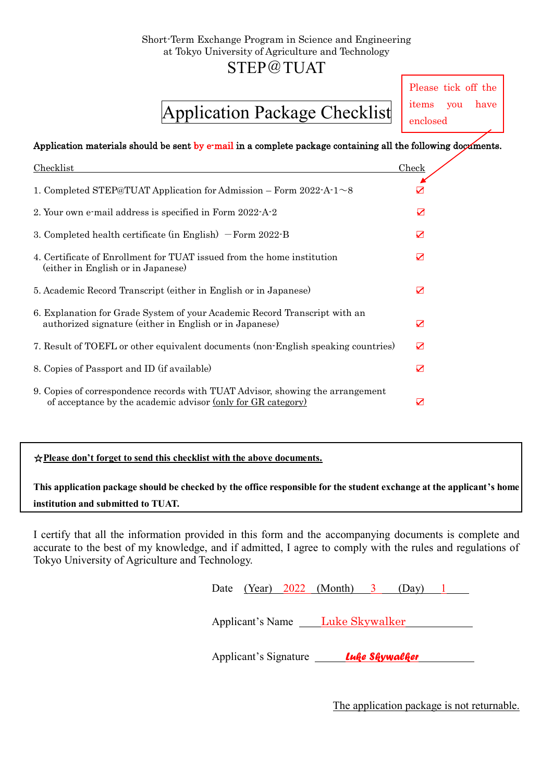### Short-Term Exchange Program in Science and Engineering at Tokyo University of Agriculture and Technology

### STEP@TUAT

# Application Package Checklist

Please tick off the items you have enclosed

#### Application materials should be sent by e-mail in a complete package containing all the following documents.

| Checklist                                                                                                                                      | Check |
|------------------------------------------------------------------------------------------------------------------------------------------------|-------|
| 1. Completed STEP@TUAT Application for Admission – Form 2022-A-1 $\sim$ 8                                                                      |       |
| 2. Your own e-mail address is specified in Form 2022-A-2                                                                                       | ☑     |
| 3. Completed health certificate (in English) $-$ Form 2022-B                                                                                   | ☑     |
| 4. Certificate of Enrollment for TUAT issued from the home institution<br>(either in English or in Japanese)                                   | ☑     |
| 5. Academic Record Transcript (either in English or in Japanese)                                                                               | ☑     |
| 6. Explanation for Grade System of your Academic Record Transcript with an<br>authorized signature (either in English or in Japanese)          | ☑     |
| 7. Result of TOEFL or other equivalent documents (non-English speaking countries)                                                              | ☑     |
| 8. Copies of Passport and ID (if available)                                                                                                    | ☑     |
| 9. Copies of correspondence records with TUAT Advisor, showing the arrangement<br>of acceptance by the academic advisor (only for GR category) | ▽     |

#### ☆**Please don't forget to send this checklist with the above documents.**

**This application package should be checked by the office responsible for the student exchange at the applicant's home institution and submitted to TUAT.**

I certify that all the information provided in this form and the accompanying documents is complete and accurate to the best of my knowledge, and if admitted, I agree to comply with the rules and regulations of Tokyo University of Agriculture and Technology.

| Luke Skywalker<br>Applicant's Name | Applicant's Signature |  | Luke Skywalker |  |
|------------------------------------|-----------------------|--|----------------|--|
|                                    |                       |  |                |  |

The application package is not returnable.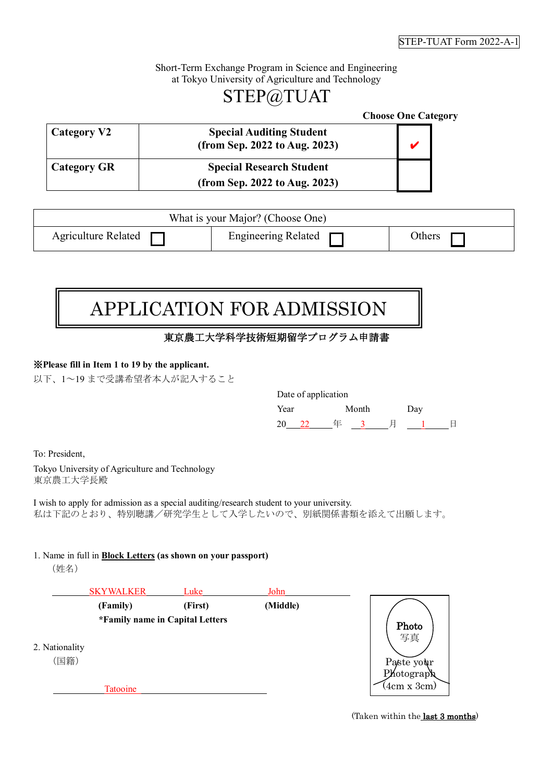#### Short-Term Exchange Program in Science and Engineering at Tokyo University of Agriculture and Technology

## STEP@TUAT

|                    |                                                                  | <b>Choose One Category</b> |
|--------------------|------------------------------------------------------------------|----------------------------|
| Category V2        | <b>Special Auditing Student</b><br>(from Sep. 2022 to Aug. 2023) |                            |
| <b>Category GR</b> | <b>Special Research Student</b><br>(from Sep. 2022 to Aug. 2023) |                            |

| What is your Major? (Choose One) |                            |        |
|----------------------------------|----------------------------|--------|
| Agriculture Related              | Engineering Related $\Box$ | Others |

# APPLICATION FOR ADMISSION

### 東京農工大学科学技術短期留学プログラム申請書

#### ※**Please fill in Item 1 to 19 by the applicant.**

以下、1~19 まで受講希望者本人が記入すること

|      | Date of application |       |     |  |
|------|---------------------|-------|-----|--|
| Year |                     | Month | Day |  |
|      |                     |       |     |  |

To: President,

Tokyo University of Agriculture and Technology 東京農工大学長殿

I wish to apply for admission as a special auditing/research student to your university. 私は下記のとおり、特別聴講/研究学生として入学したいので、別紙関係書類を添えて出願します。

#### 1. Name in full in **Block Letters (as shown on your passport)**

(姓名)

|                        | <b>SKYWALKER</b>                | Luke    | John     |                           |
|------------------------|---------------------------------|---------|----------|---------------------------|
|                        | (Family)                        | (First) | (Middle) |                           |
|                        | *Family name in Capital Letters |         |          | Photo<br>写真               |
| 2. Nationality<br>(国籍) |                                 |         |          | Paste your                |
|                        | Tatooine                        |         |          | Photograph<br>(4cm x 3cm) |

(Taken within the last 3 months)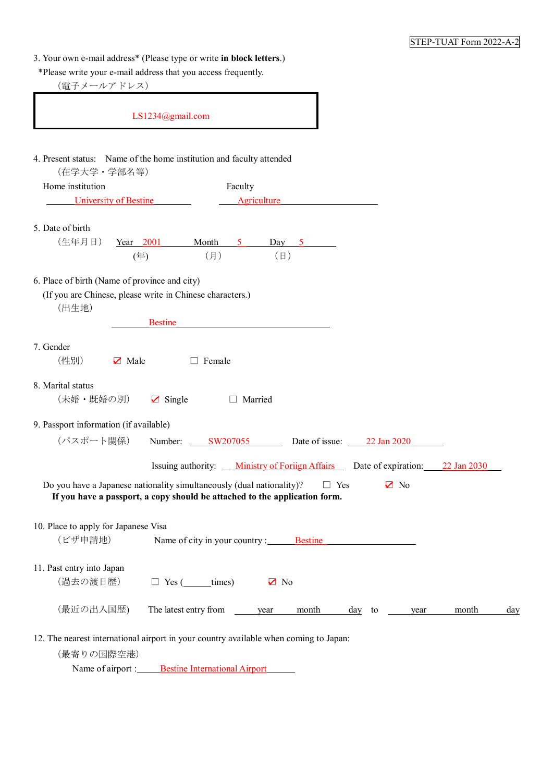| 3. Your own e-mail address* (Please type or write in block letters.) |  |  |
|----------------------------------------------------------------------|--|--|
|----------------------------------------------------------------------|--|--|

\*Please write your e-mail address that you access frequently.

(電子メールアドレス)

| LS1234@gmail.com                                                                                                                                    |                                                                                |
|-----------------------------------------------------------------------------------------------------------------------------------------------------|--------------------------------------------------------------------------------|
| 4. Present status: Name of the home institution and faculty attended<br>(在学大学·学部名等)                                                                 |                                                                                |
| Home institution<br>Faculty                                                                                                                         |                                                                                |
| University of Bestine<br>Agriculture                                                                                                                |                                                                                |
| 5. Date of birth                                                                                                                                    |                                                                                |
| (生年月日)<br>Year 2001 Month 5 Day 5                                                                                                                   |                                                                                |
| $(\Box)$<br>(月)<br>(年)                                                                                                                              |                                                                                |
| 6. Place of birth (Name of province and city)<br>(If you are Chinese, please write in Chinese characters.)<br>(出生地)<br><b>Bestine</b>               |                                                                                |
| 7. Gender<br>(性別)<br>$\triangleright$ Male<br>$\Box$ Female                                                                                         |                                                                                |
| 8. Marital status<br>(未婚・既婚の別)<br>$\boxtimes$ Single<br>□ Married                                                                                   |                                                                                |
| 9. Passport information (if available)                                                                                                              |                                                                                |
| (パスポート関係)<br>Number: <u>SW207055</u> Date of issue: 22 Jan 2020                                                                                     |                                                                                |
|                                                                                                                                                     | Issuing authority: Ministry of Foriign Affairs Date of expiration: 22 Jan 2030 |
| Do you have a Japanese nationality simultaneously (dual nationality)?<br>If you have a passport, a copy should be attached to the application form. | $\Box$ Yes<br>$\mathbf{Z}$ No                                                  |
| 10. Place to apply for Japanese Visa<br>(ビザ申請地)<br>Name of city in your country : Bestine                                                           |                                                                                |
| 11. Past entry into Japan                                                                                                                           |                                                                                |
| (過去の渡日歴)<br>$\sqrt{ }$ No<br>$\Box$ Yes ( $\_\_$ times)                                                                                             |                                                                                |
| (最近の出入国歴)<br>The latest entry from<br>year                                                                                                          | month<br>$\frac{day}{x}$ to<br>month<br>day<br>year                            |
| 12. The nearest international airport in your country available when coming to Japan:<br>(最寄りの国際空港)                                                 |                                                                                |

Name of airport : Bestine International Airport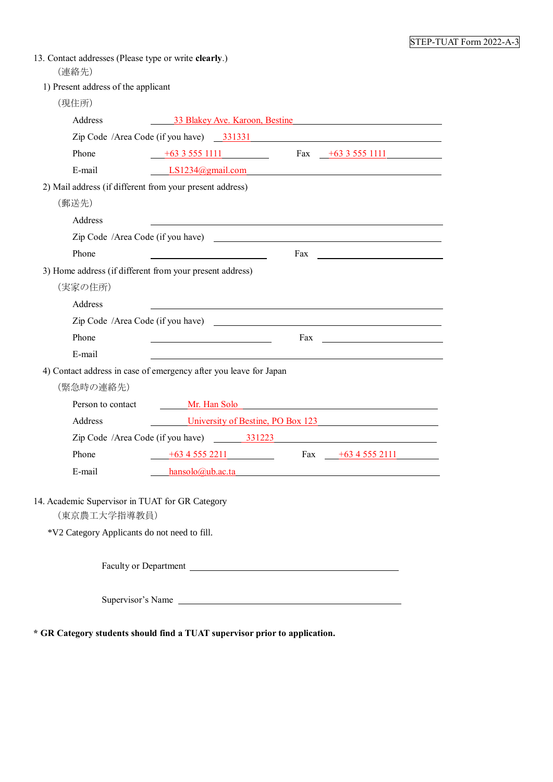| 13. Contact addresses (Please type or write clearly.)<br>(連絡先)                                                  |                                                   |                                                            |  |
|-----------------------------------------------------------------------------------------------------------------|---------------------------------------------------|------------------------------------------------------------|--|
| 1) Present address of the applicant                                                                             |                                                   |                                                            |  |
| (現住所)                                                                                                           |                                                   |                                                            |  |
| Address                                                                                                         |                                                   | 33 Blakey Ave. Karoon, Bestine                             |  |
|                                                                                                                 |                                                   |                                                            |  |
| Phone                                                                                                           |                                                   | $+63\,3\,555\,1111$ Fax $+63\,3\,555\,1111$                |  |
| E-mail                                                                                                          |                                                   | LS1234@gmail.com                                           |  |
| 2) Mail address (if different from your present address)                                                        |                                                   |                                                            |  |
| (郵送先)                                                                                                           |                                                   |                                                            |  |
| Address                                                                                                         |                                                   |                                                            |  |
|                                                                                                                 |                                                   |                                                            |  |
| Phone                                                                                                           |                                                   |                                                            |  |
| 3) Home address (if different from your present address)                                                        |                                                   |                                                            |  |
| (実家の住所)                                                                                                         |                                                   |                                                            |  |
| Address                                                                                                         |                                                   | <u> 1989 - Johann Barn, amerikansk politiker (d. 1989)</u> |  |
|                                                                                                                 |                                                   |                                                            |  |
| Phone                                                                                                           | <u> 1989 - Johann Barbara, martin amerikan ba</u> |                                                            |  |
| E-mail                                                                                                          |                                                   |                                                            |  |
| 4) Contact address in case of emergency after you leave for Japan                                               |                                                   |                                                            |  |
| (緊急時の連絡先)                                                                                                       |                                                   |                                                            |  |
| Person to contact                                                                                               |                                                   | <b>Solution</b> Mr. Han Solo                               |  |
| Address                                                                                                         |                                                   | University of Bestine, PO Box 123                          |  |
|                                                                                                                 | Zip Code /Area Code (if you have) 331223          |                                                            |  |
| Phone                                                                                                           | $+63\overline{4}555\overline{2211}$               | Fax $+6345552111$                                          |  |
| E-mail                                                                                                          | <u>hansolo@ub.ac.ta</u>                           |                                                            |  |
| 14. Academic Supervisor in TUAT for GR Category<br>(東京農工大学指導教員)<br>*V2 Category Applicants do not need to fill. |                                                   |                                                            |  |
|                                                                                                                 |                                                   |                                                            |  |
|                                                                                                                 | Supervisor's Name                                 |                                                            |  |

**\* GR Category students should find a TUAT supervisor prior to application.**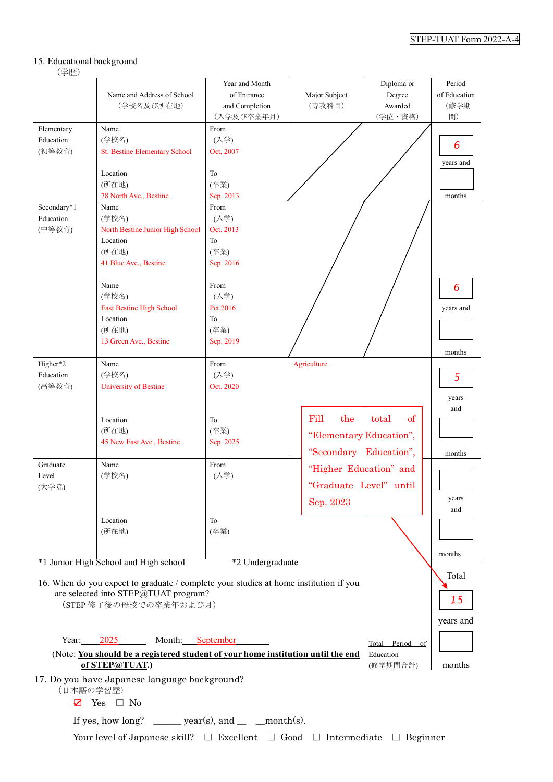#### 15. Educational background

#### (学歴)

|                                    | Name and Address of School<br>(学校名及び所在地)                                                                                                                                        | Year and Month<br>of Entrance<br>and Completion<br>(入学及び卒業年月) | Major Subject<br>(専攻科目)                                          | Diploma or<br>Degree<br>Awarded<br>(学位·資格) | Period<br>of Education<br>(修学期<br>間) |
|------------------------------------|---------------------------------------------------------------------------------------------------------------------------------------------------------------------------------|---------------------------------------------------------------|------------------------------------------------------------------|--------------------------------------------|--------------------------------------|
| Elementary<br>Education<br>(初等教育)  | Name<br>(学校名)<br><b>St. Bestine Elementary School</b><br>Location                                                                                                               | From<br>(入学)<br>Oct, 2007<br>To                               |                                                                  |                                            | 6<br>years and                       |
|                                    | (所在地)<br>78 North Ave., Bestine                                                                                                                                                 | (卒業)                                                          |                                                                  |                                            | months                               |
| Secondary*1<br>Education<br>(中等教育) | Name<br>(学校名)<br>North Bestine Junior High School                                                                                                                               | Sep. 2013<br>From<br>(入学)<br>Oct. 2013                        |                                                                  |                                            |                                      |
|                                    | Location<br>(所在地)<br>41 Blue Ave., Bestine                                                                                                                                      | To<br>(卒業)<br>Sep. 2016                                       |                                                                  |                                            |                                      |
|                                    | Name<br>(学校名)<br><b>East Bestine High School</b><br>Location                                                                                                                    | From<br>(入学)<br>Pct.2016<br>To                                |                                                                  |                                            | 6<br>years and                       |
|                                    | (所在地)<br>13 Green Ave., Bestine                                                                                                                                                 | (卒業)<br>Sep. 2019                                             |                                                                  |                                            | months                               |
| Higher*2<br>Education<br>(高等教育)    | Name<br>(学校名)<br>University of Bestine                                                                                                                                          | From<br>(入学)<br>Oct. 2020                                     | Agriculture                                                      |                                            | 5<br>years<br>and                    |
|                                    | Location<br>(所在地)<br>45 New East Ave., Bestine                                                                                                                                  | To<br>(卒業)<br>Sep. 2025                                       | Fill<br>the<br>"Elementary Education",<br>"Secondary Education", | of<br>total                                | months                               |
| Graduate<br>Level<br>(大学院)         | Name<br>(学校名)                                                                                                                                                                   | From<br>(入学)                                                  | "Higher Education" and<br>"Graduate Level" until<br>Sep. 2023    |                                            | years<br>and                         |
|                                    | Location<br>(所在地)                                                                                                                                                               | To<br>(卒業)                                                    |                                                                  |                                            |                                      |
|                                    | *1 Junior High School and High school                                                                                                                                           | *2 Undergraduate                                              |                                                                  |                                            | months                               |
|                                    | 16. When do you expect to graduate / complete your studies at home institution if you<br>are selected into STEP@TUAT program?<br>(STEP 修了後の母校での卒業年および月)                         |                                                               |                                                                  |                                            | Total<br>15<br>years and             |
| Year:                              | 2025<br>Month: September<br>(Note: You should be a registered student of your home institution until the end<br>of STEP@TUAT.)<br>17. Do you have Japanese language background? |                                                               |                                                                  | Total Period of<br>Education<br>(修学期間合計)   | months                               |
| (日本語の学習歴)<br>☑                     | Yes $\Box$ No                                                                                                                                                                   |                                                               |                                                                  |                                            |                                      |
|                                    | If yes, how long? _______ year(s), and ______ month(s).                                                                                                                         |                                                               |                                                                  |                                            |                                      |

Your level of Japanese skill?  $\Box$  Excellent  $\Box$  Good  $\Box$  Intermediate  $\Box$  Beginner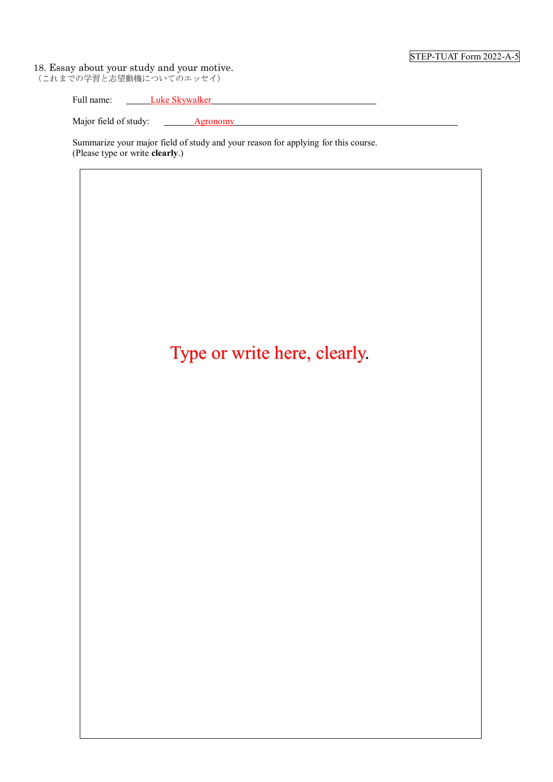#### STEP-TUAT Form 2022-A-5

#### 18. Essay about your study and your motive.

(これまでの学習と志望動機についてのエッセイ)

| Full<br>u name. | нке<br>эĸ. | <b>VWAIKE</b> |  |
|-----------------|------------|---------------|--|
|                 |            |               |  |

Major field of study: <u>Agronomy</u>

Summarize your major field of study and your reason for applying for this course. (Please type or write **clearly**.)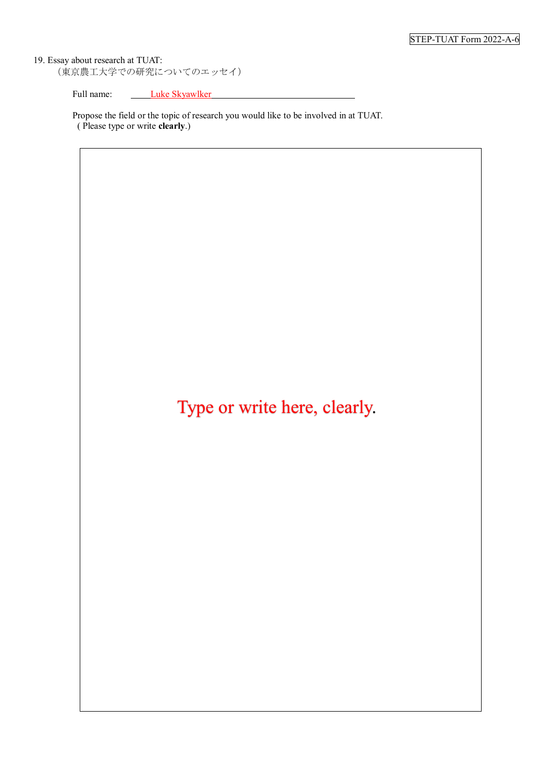19. Essay about research at TUAT: (東京農工大学での研究についてのエッセイ)

Full name: Luke Skyawlker

Propose the field or the topic of research you would like to be involved in at TUAT. ( Please type or write **clearly**.)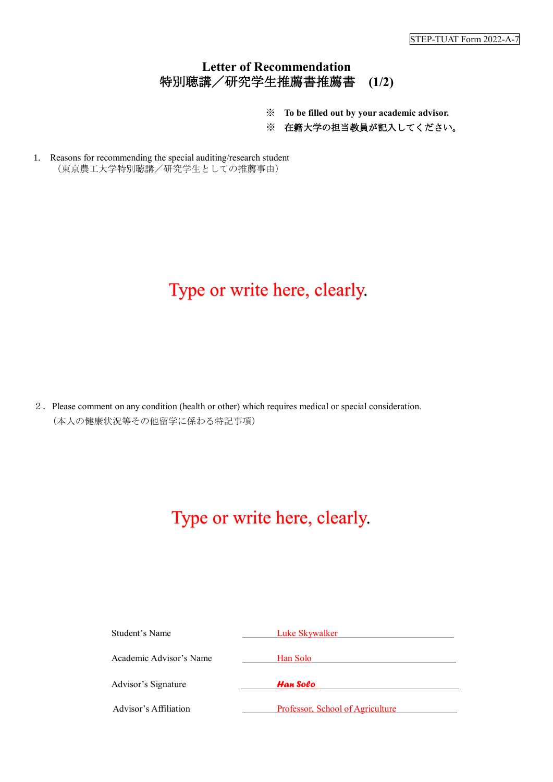### **Letter of Recommendation** 特別聴講/研究学生推薦書推薦書 **(1/2)**

- ※ **To be filled out by your academic advisor.**
- ※ 在籍大学の担当教員が記入してください。
- 1. Reasons for recommending the special auditing/research student (東京農工大学特別聴講/研究学生としての推薦事由)

## Type or write here, clearly.

2.Please comment on any condition (health or other) which requires medical or special consideration. (本人の健康状況等その他留学に係わる特記事項)

| Student's Name          | Luke Skywalker                   |
|-------------------------|----------------------------------|
| Academic Advisor's Name | Han Solo                         |
| Advisor's Signature     | Han Solo                         |
| Advisor's Affiliation   | Professor, School of Agriculture |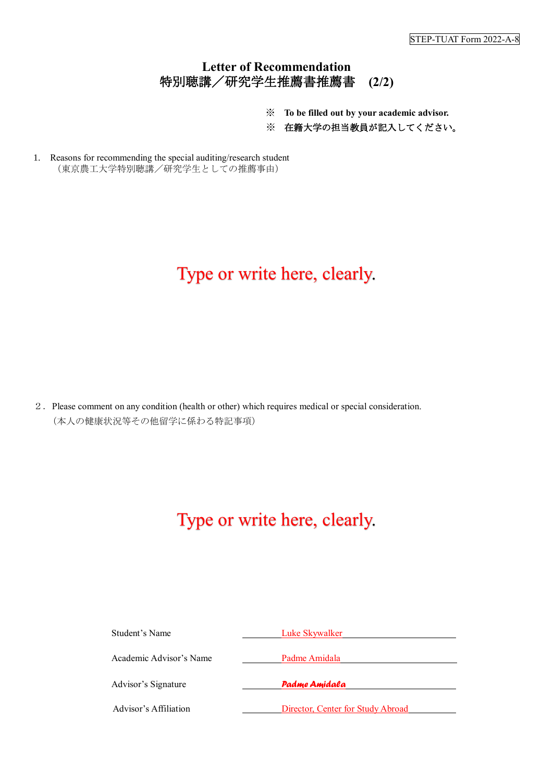### **Letter of Recommendation** 特別聴講/研究学生推薦書推薦書 **(2/2)**

- ※ **To be filled out by your academic advisor.**
- ※ 在籍大学の担当教員が記入してください。
- 1. Reasons for recommending the special auditing/research student (東京農工大学特別聴講/研究学生としての推薦事由)

## Type or write here, clearly.

2.Please comment on any condition (health or other) which requires medical or special consideration. (本人の健康状況等その他留学に係わる特記事項)

| Student's Name          | Luke Skywalker                    |  |  |  |
|-------------------------|-----------------------------------|--|--|--|
| Academic Advisor's Name | Padme Amidala<br>Padme Amidala    |  |  |  |
| Advisor's Signature     |                                   |  |  |  |
| Advisor's Affiliation   | Director, Center for Study Abroad |  |  |  |